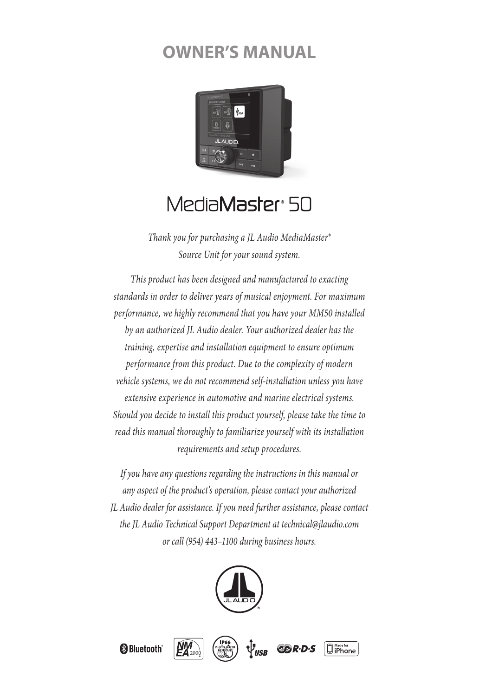# **OWNER'S MANUAL**



# Media**Master**® 50

*Thank you for purchasing a JL Audio MediaMaster® Source Unit for your sound system.* 

*This product has been designed and manufactured to exacting standards in order to deliver years of musical enjoyment. For maximum performance, we highly recommend that you have your MM50 installed by an authorized JL Audio dealer. Your authorized dealer has the training, expertise and installation equipment to ensure optimum performance from this product. Due to the complexity of modern vehicle systems, we do not recommend self-installation unless you have extensive experience in automotive and marine electrical systems. Should you decide to install this product yourself, please take the time to read this manual thoroughly to familiarize yourself with its installation requirements and setup procedures.*

*If you have any questions regarding the instructions in this manual or any aspect of the product's operation, please contact your authorized JL Audio dealer for assistance. If you need further assistance, please contact the JL Audio Technical Support Department at technical@jlaudio.com or call (954) 443–1100 during business hours.*





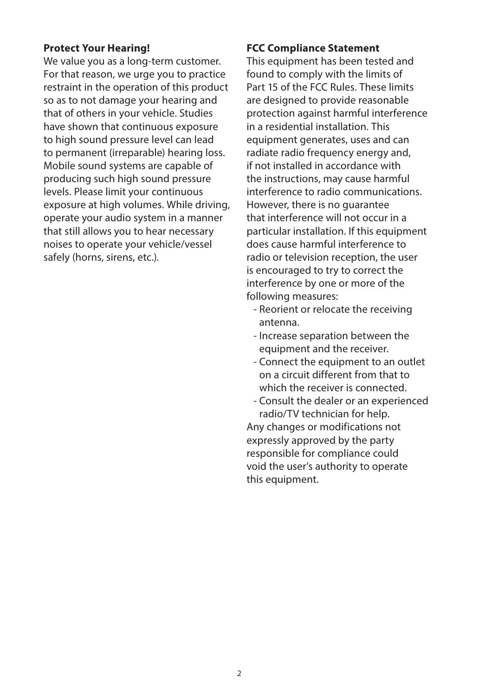#### **Protect Your Hearing!**

We value you as a long-term customer. For that reason, we urge you to practice restraint in the operation of this product so as to not damage your hearing and that of others in your vehicle. Studies have shown that continuous exposure to high sound pressure level can lead to permanent (irreparable) hearing loss. Mobile sound systems are capable of producing such high sound pressure levels. Please limit your continuous exposure at high volumes. While driving, operate your audio system in a manner that still allows you to hear necessary noises to operate your vehicle/vessel safely (horns, sirens, etc.).

#### **FCC Compliance Statement**

This equipment has been tested and found to comply with the limits of Part 15 of the FCC Rules. These limits are designed to provide reasonable protection against harmful interference in a residential installation. This equipment generates, uses and can radiate radio frequency energy and, if not installed in accordance with the instructions, may cause harmful interference to radio communications. However, there is no guarantee that interference will not occur in a particular installation. If this equipment does cause harmful interference to radio or television reception, the user is encouraged to try to correct the interference by one or more of the following measures:

- Reorient or relocate the receiving antenna.
- Increase separation between the equipment and the receiver.
- Connect the equipment to an outlet on a circuit different from that to which the receiver is connected.
- Consult the dealer or an experienced radio/TV technician for help.

Any changes or modifications not expressly approved by the party responsible for compliance could void the user's authority to operate this equipment.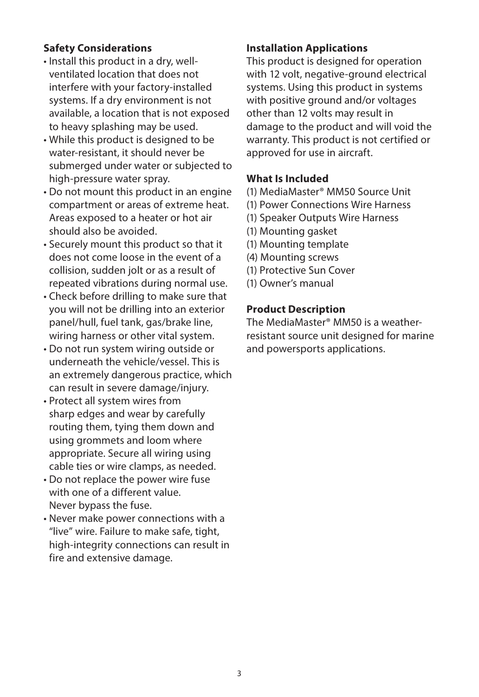## **Safety Considerations**

- Install this product in a dry, wellventilated location that does not interfere with your factory-installed systems. If a dry environment is not available, a location that is not exposed to heavy splashing may be used.
- While this product is designed to be water-resistant, it should never be submerged under water or subjected to high-pressure water spray.
- Do not mount this product in an engine compartment or areas of extreme heat. Areas exposed to a heater or hot air should also be avoided.
- Securely mount this product so that it does not come loose in the event of a collision, sudden jolt or as a result of repeated vibrations during normal use.
- Check before drilling to make sure that you will not be drilling into an exterior panel/hull, fuel tank, gas/brake line, wiring harness or other vital system.
- Do not run system wiring outside or underneath the vehicle/vessel. This is an extremely dangerous practice, which can result in severe damage/injury.
- Protect all system wires from sharp edges and wear by carefully routing them, tying them down and using grommets and loom where appropriate. Secure all wiring using cable ties or wire clamps, as needed.
- Do not replace the power wire fuse with one of a different value. Never bypass the fuse.
- Never make power connections with a "live" wire. Failure to make safe, tight, high-integrity connections can result in fire and extensive damage.

# **Installation Applications**

This product is designed for operation with 12 volt, negative-ground electrical systems. Using this product in systems with positive ground and/or voltages other than 12 volts may result in damage to the product and will void the warranty. This product is not certified or approved for use in aircraft.

# **What Is Included**

- (1) MediaMaster® MM50 Source Unit
- (1) Power Connections Wire Harness
- (1) Speaker Outputs Wire Harness
- (1) Mounting gasket
- (1) Mounting template
- (4) Mounting screws
- (1) Protective Sun Cover
- (1) Owner's manual

## **Product Description**

The MediaMaster® MM50 is a weatherresistant source unit designed for marine and powersports applications.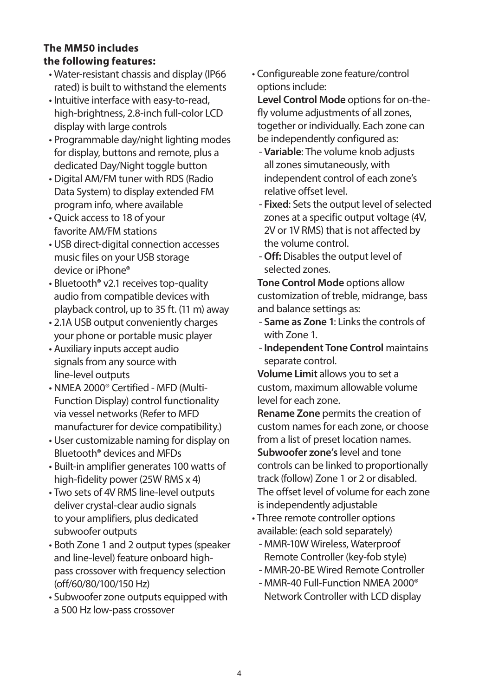# **The MM50 includes the following features:**

- Water-resistant chassis and display (IP66 rated) is built to withstand the elements
- Intuitive interface with easy-to-read, high-brightness, 2.8-inch full-color LCD display with large controls
- Programmable day/night lighting modes for display, buttons and remote, plus a dedicated Day/Night toggle button
- Digital AM/FM tuner with RDS (Radio Data System) to display extended FM program info, where available
- Quick access to 18 of your favorite AM/FM stations
- USB direct-digital connection accesses music files on your USB storage device or iPhone®
- Bluetooth® v2.1 receives top-quality audio from compatible devices with playback control, up to 35 ft. (11 m) away
- 2.1A USB output conveniently charges your phone or portable music player
- Auxiliary inputs accept audio signals from any source with line-level outputs
- NMEA 2000® Certified MFD (Multi-Function Display) control functionality via vessel networks (Refer to MFD manufacturer for device compatibility.)
- User customizable naming for display on Bluetooth® devices and MFDs
- Built-in amplifier generates 100 watts of high-fidelity power (25W RMS x 4)
- Two sets of 4V RMS line-level outputs deliver crystal-clear audio signals to your amplifiers, plus dedicated subwoofer outputs
- Both Zone 1 and 2 output types (speaker and line-level) feature onboard highpass crossover with frequency selection (off/60/80/100/150 Hz)
- Subwoofer zone outputs equipped with a 500 Hz low-pass crossover

• Configureable zone feature/control options include:

**Level Control Mode** options for on-thefly volume adjustments of all zones, together or individually. Each zone can be independently configured as:

- **Variable**: The volume knob adjusts all zones simutaneously, with independent control of each zone's relative offset level.
- **Fixed**: Sets the output level of selected zones at a specific output voltage (4V, 2V or 1V RMS) that is not affected by the volume control.
- **Off:** Disables the output level of selected zones.

**Tone Control Mode** options allow customization of treble, midrange, bass and balance settings as:

- **Same as Zone 1**: Links the controls of with Zone 1.
- **Independent Tone Control** maintains separate control.

**Volume Limit** allows you to set a custom, maximum allowable volume level for each zone.

**Rename Zone** permits the creation of custom names for each zone, or choose from a list of preset location names. **Subwoofer zone's** level and tone controls can be linked to proportionally track (follow) Zone 1 or 2 or disabled. The offset level of volume for each zone is independently adjustable

- Three remote controller options available: (each sold separately)
	- MMR-10W Wireless, Waterproof Remote Controller (key-fob style)
	- MMR-20-BE Wired Remote Controller
	- MMR-40 Full-Function NMEA 2000® Network Controller with LCD display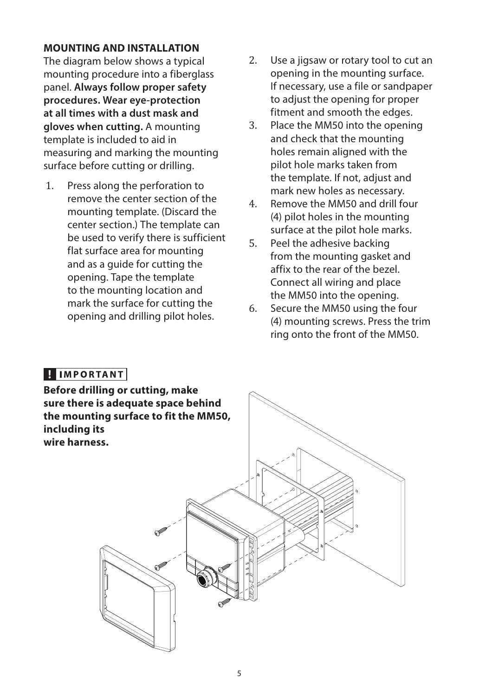#### **MOUNTING AND INSTALLATION**

The diagram below shows a typical mounting procedure into a fiberglass panel. **Always follow proper safety procedures. Wear eye-protection at all times with a dust mask and gloves when cutting.** A mounting template is included to aid in measuring and marking the mounting surface before cutting or drilling.

- 1. Press along the perforation to remove the center section of the mounting template. (Discard the center section.) The template can be used to verify there is sufficient flat surface area for mounting and as a guide for cutting the opening. Tape the template to the mounting location and mark the surface for cutting the opening and drilling pilot holes.
- 2. Use a jigsaw or rotary tool to cut an opening in the mounting surface. If necessary, use a file or sandpaper to adjust the opening for proper fitment and smooth the edges.
- 3. Place the MM50 into the opening and check that the mounting holes remain aligned with the pilot hole marks taken from the template. If not, adjust and mark new holes as necessary.
- 4. Remove the MM50 and drill four (4) pilot holes in the mounting surface at the pilot hole marks.
- 5. Peel the adhesive backing from the mounting gasket and affix to the rear of the bezel. Connect all wiring and place the MM50 into the opening.
- 6. Secure the MM50 using the four (4) mounting screws. Press the trim ring onto the front of the MM50.

# **HIMPORTANT**

**Before drilling or cutting, make sure there is adequate space behind the mounting surface to fit the MM50, including its wire harness.**

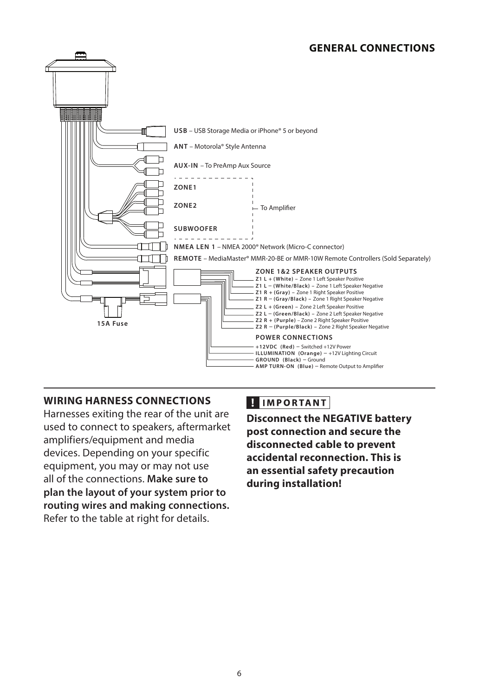## **GENERAL CONNECTIONS**



#### **WIRING HARNESS CONNECTIONS**

Harnesses exiting the rear of the unit are used to connect to speakers, aftermarket amplifiers/equipment and media devices. Depending on your specific equipment, you may or may not use all of the connections. **Make sure to plan the layout of your system prior to routing wires and making connections.**  Refer to the table at right for details.

# **HIMPORTANT**

**Disconnect the NEGATIVE battery post connection and secure the disconnected cable to prevent accidental reconnection. This is an essential safety precaution during installation!**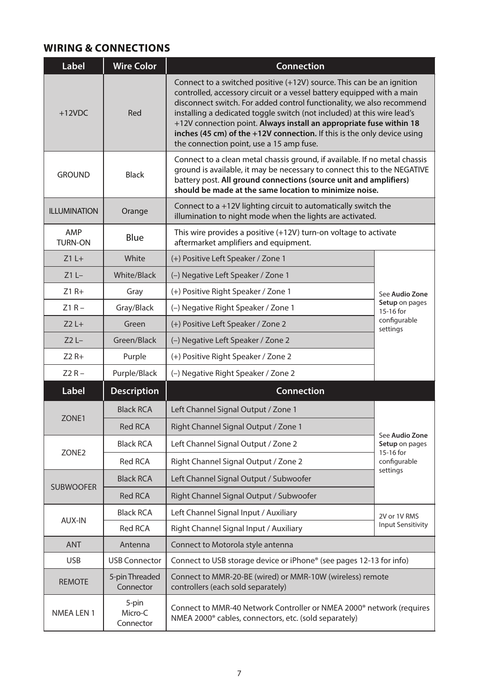# **WIRING & CONNECTIONS**

| Label                 | <b>Wire Color</b>             | Connection                                                                                                                                                                                                                                                                                                                                                                                                                                                                                        |                                  |  |
|-----------------------|-------------------------------|---------------------------------------------------------------------------------------------------------------------------------------------------------------------------------------------------------------------------------------------------------------------------------------------------------------------------------------------------------------------------------------------------------------------------------------------------------------------------------------------------|----------------------------------|--|
| $+12VDC$              | Red                           | Connect to a switched positive (+12V) source. This can be an ignition<br>controlled, accessory circuit or a vessel battery equipped with a main<br>disconnect switch. For added control functionality, we also recommend<br>installing a dedicated toggle switch (not included) at this wire lead's<br>+12V connection point. Always install an appropriate fuse within 18<br>inches (45 cm) of the +12V connection. If this is the only device using<br>the connection point, use a 15 amp fuse. |                                  |  |
| <b>GROUND</b>         | Black                         | Connect to a clean metal chassis ground, if available. If no metal chassis<br>ground is available, it may be necessary to connect this to the NEGATIVE<br>battery post. All ground connections (source unit and amplifiers)<br>should be made at the same location to minimize noise.                                                                                                                                                                                                             |                                  |  |
| <b>ILLUMINATION</b>   | Orange                        | Connect to a +12V lighting circuit to automatically switch the<br>illumination to night mode when the lights are activated.                                                                                                                                                                                                                                                                                                                                                                       |                                  |  |
| AMP<br><b>TURN-ON</b> | Blue                          | This wire provides a positive (+12V) turn-on voltage to activate<br>aftermarket amplifiers and equipment.                                                                                                                                                                                                                                                                                                                                                                                         |                                  |  |
| $Z1L+$                | White                         | (+) Positive Left Speaker / Zone 1                                                                                                                                                                                                                                                                                                                                                                                                                                                                |                                  |  |
| $Z1L -$               | White/Black                   | (-) Negative Left Speaker / Zone 1                                                                                                                                                                                                                                                                                                                                                                                                                                                                |                                  |  |
| $Z1 R+$               | Gray                          | (+) Positive Right Speaker / Zone 1                                                                                                                                                                                                                                                                                                                                                                                                                                                               | See Audio Zone                   |  |
| $Z1R -$               | Gray/Black                    | (-) Negative Right Speaker / Zone 1                                                                                                                                                                                                                                                                                                                                                                                                                                                               | Setup on pages<br>15-16 for      |  |
| $Z2L+$                | Green                         | (+) Positive Left Speaker / Zone 2                                                                                                                                                                                                                                                                                                                                                                                                                                                                | configurable<br>settings         |  |
| $Z2L -$               | Green/Black                   | (-) Negative Left Speaker / Zone 2                                                                                                                                                                                                                                                                                                                                                                                                                                                                |                                  |  |
| $Z2R+$                | Purple                        | (+) Positive Right Speaker / Zone 2                                                                                                                                                                                                                                                                                                                                                                                                                                                               |                                  |  |
| $Z2R -$               | Purple/Black                  | (-) Negative Right Speaker / Zone 2                                                                                                                                                                                                                                                                                                                                                                                                                                                               |                                  |  |
| Label                 | <b>Description</b>            | Connection                                                                                                                                                                                                                                                                                                                                                                                                                                                                                        |                                  |  |
|                       | <b>Black RCA</b>              | Left Channel Signal Output / Zone 1                                                                                                                                                                                                                                                                                                                                                                                                                                                               |                                  |  |
| ZONE1                 | <b>Red RCA</b>                | Right Channel Signal Output / Zone 1                                                                                                                                                                                                                                                                                                                                                                                                                                                              |                                  |  |
|                       | <b>Black RCA</b>              | Left Channel Signal Output / Zone 2                                                                                                                                                                                                                                                                                                                                                                                                                                                               | See Audio Zone<br>Setup on pages |  |
| ZONE <sub>2</sub>     | <b>Red RCA</b>                | Right Channel Signal Output / Zone 2                                                                                                                                                                                                                                                                                                                                                                                                                                                              | 15-16 for<br>configurable        |  |
|                       | <b>Black RCA</b>              | Left Channel Signal Output / Subwoofer                                                                                                                                                                                                                                                                                                                                                                                                                                                            | settings                         |  |
| <b>SUBWOOFER</b>      | <b>Red RCA</b>                | Right Channel Signal Output / Subwoofer                                                                                                                                                                                                                                                                                                                                                                                                                                                           |                                  |  |
|                       | <b>Black RCA</b>              | Left Channel Signal Input / Auxiliary                                                                                                                                                                                                                                                                                                                                                                                                                                                             | 2V or 1V RMS                     |  |
| AUX-IN                | Red RCA                       | Right Channel Signal Input / Auxiliary                                                                                                                                                                                                                                                                                                                                                                                                                                                            | <b>Input Sensitivity</b>         |  |
| <b>ANT</b>            | Antenna                       | Connect to Motorola style antenna                                                                                                                                                                                                                                                                                                                                                                                                                                                                 |                                  |  |
| <b>USB</b>            | <b>USB Connector</b>          | Connect to USB storage device or iPhone® (see pages 12-13 for info)                                                                                                                                                                                                                                                                                                                                                                                                                               |                                  |  |
| <b>REMOTE</b>         | 5-pin Threaded<br>Connector   | Connect to MMR-20-BE (wired) or MMR-10W (wireless) remote<br>controllers (each sold separately)                                                                                                                                                                                                                                                                                                                                                                                                   |                                  |  |
| <b>NMEA LEN 1</b>     | 5-pin<br>Micro-C<br>Connector | Connect to MMR-40 Network Controller or NMEA 2000 <sup>®</sup> network (requires<br>NMEA 2000 <sup>®</sup> cables, connectors, etc. (sold separately)                                                                                                                                                                                                                                                                                                                                             |                                  |  |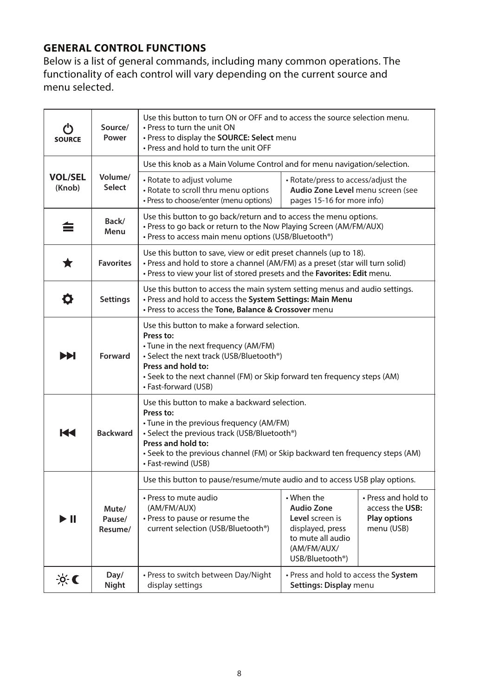# **GENERAL CONTROL FUNCTIONS**

Below is a list of general commands, including many common operations. The functionality of each control will vary depending on the current source and menu selected.

| <b>SOURCE</b>            | Source/<br>Power           | Use this button to turn ON or OFF and to access the source selection menu.<br>• Press to turn the unit ON<br>• Press to display the SOURCE: Select menu<br>. Press and hold to turn the unit OFF                                                                                     |                                                                                                                                                  |                                                                             |
|--------------------------|----------------------------|--------------------------------------------------------------------------------------------------------------------------------------------------------------------------------------------------------------------------------------------------------------------------------------|--------------------------------------------------------------------------------------------------------------------------------------------------|-----------------------------------------------------------------------------|
|                          |                            | Use this knob as a Main Volume Control and for menu navigation/selection.                                                                                                                                                                                                            |                                                                                                                                                  |                                                                             |
| <b>VOL/SEL</b><br>(Knob) | Volume/<br>Select          | • Rotate to adjust volume<br>• Rotate to scroll thru menu options<br>• Press to choose/enter (menu options)                                                                                                                                                                          | • Rotate/press to access/adjust the<br>Audio Zone Level menu screen (see<br>pages 15-16 for more info)                                           |                                                                             |
| 亖                        | Back/<br>Menu              | Use this button to go back/return and to access the menu options.<br>. Press to go back or return to the Now Playing Screen (AM/FM/AUX)<br>• Press to access main menu options (USB/Bluetooth®)                                                                                      |                                                                                                                                                  |                                                                             |
| ★                        | <b>Favorites</b>           | Use this button to save, view or edit preset channels (up to 18).<br>• Press and hold to store a channel (AM/FM) as a preset (star will turn solid)<br>• Press to view your list of stored presets and the Favorites: Edit menu.                                                     |                                                                                                                                                  |                                                                             |
| o                        | <b>Settings</b>            | Use this button to access the main system setting menus and audio settings.<br>. Press and hold to access the System Settings: Main Menu<br>. Press to access the Tone, Balance & Crossover menu                                                                                     |                                                                                                                                                  |                                                                             |
| ÞЫ                       | Forward                    | Use this button to make a forward selection.<br>Press to:<br>• Tune in the next frequency (AM/FM)<br>• Select the next track (USB/Bluetooth®)<br>Press and hold to:<br>• Seek to the next channel (FM) or Skip forward ten frequency steps (AM)<br>• Fast-forward (USB)              |                                                                                                                                                  |                                                                             |
| 144                      | <b>Backward</b>            | Use this button to make a backward selection.<br>Press to:<br>• Tune in the previous frequency (AM/FM)<br>• Select the previous track (USB/Bluetooth®)<br>Press and hold to:<br>• Seek to the previous channel (FM) or Skip backward ten frequency steps (AM)<br>• Fast-rewind (USB) |                                                                                                                                                  |                                                                             |
|                          |                            | Use this button to pause/resume/mute audio and to access USB play options.                                                                                                                                                                                                           |                                                                                                                                                  |                                                                             |
| ÞШ                       | Mute/<br>Pause/<br>Resume/ | • Press to mute audio<br>(AM/FM/AUX)<br>• Press to pause or resume the<br>current selection (USB/Bluetooth®)                                                                                                                                                                         | $\cdot$ When the<br><b>Audio Zone</b><br>Level screen is<br>displayed, press<br>to mute all audio<br>(AM/FM/AUX/<br>USB/Bluetooth <sup>®</sup> ) | • Press and hold to<br>access the USB:<br><b>Play options</b><br>menu (USB) |
| $\infty$                 | Day/<br>Night              | • Press to switch between Day/Night<br>display settings                                                                                                                                                                                                                              | • Press and hold to access the System<br>Settings: Display menu                                                                                  |                                                                             |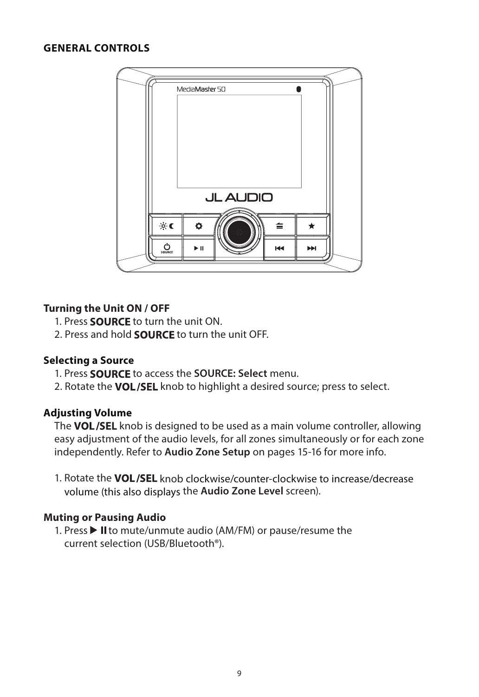#### **GENERAL CONTROLS**



#### **Turning the Unit ON / OFF**

- 1. Press **SOURCE** to turn the unit ON.
- 2. Press and hold **SOURCE** to turn the unit OFF.

#### **Selecting a Source**

- 1. Press **SOURCE** to access the **SOURCE: Select** menu.
- 2. Rotate the VOL/SEL knob to highlight a desired source; press to select.

#### **Adjusting Volume**

The VOL/SEL knob is designed to be used as a main volume controller, allowing easy adjustment of the audio levels, for all zones simultaneously or for each zone independently. Refer to **Audio Zone Setup** on pages 15-16 for more info.

1. Rotate the VOL/SEL knob clockwise/counter-clockwise to increase/decrease volume (this also displays the **Audio Zone Level** screen).

## **Muting or Pausing Audio**

1. Press  $\blacktriangleright$  II to mute/unmute audio (AM/FM) or pause/resume the current selection (USB/Bluetooth®).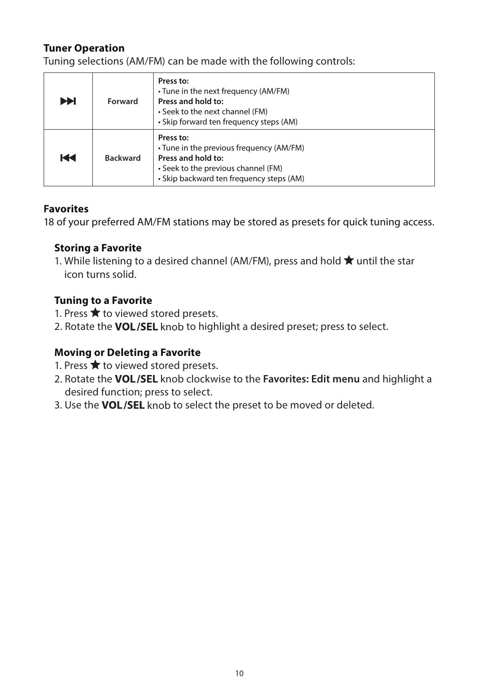## **Tuner Operation**

Tuning selections (AM/FM) can be made with the following controls:

| EE | Forward         | Press to:<br>• Tune in the next frequency (AM/FM)<br>Press and hold to:<br>• Seek to the next channel (FM)<br>• Skip forward ten frequency steps (AM)          |
|----|-----------------|----------------------------------------------------------------------------------------------------------------------------------------------------------------|
| Ю  | <b>Backward</b> | Press to:<br>• Tune in the previous frequency (AM/FM)<br>Press and hold to:<br>• Seek to the previous channel (FM)<br>• Skip backward ten frequency steps (AM) |

## **Favorites**

18 of your preferred AM/FM stations may be stored as presets for quick tuning access.

## **Storing a Favorite**

1. While listening to a desired channel (AM/FM), press and hold  $\bigstar$  until the star icon turns solid.

## **Tuning to a Favorite**

- 1. Press  $\bigstar$  to viewed stored presets.
- 2. Rotate the VOL/SEL knob to highlight a desired preset; press to select.

## **Moving or Deleting a Favorite**

- 1. Press  $\bigstar$  to viewed stored presets.
- 2. Rotate the **VOL/SEL** knob clockwise to the **Favorites: Edit menu** and highlight a desired function; press to select.
- 3. Use the VOL/SEL knob to select the preset to be moved or deleted.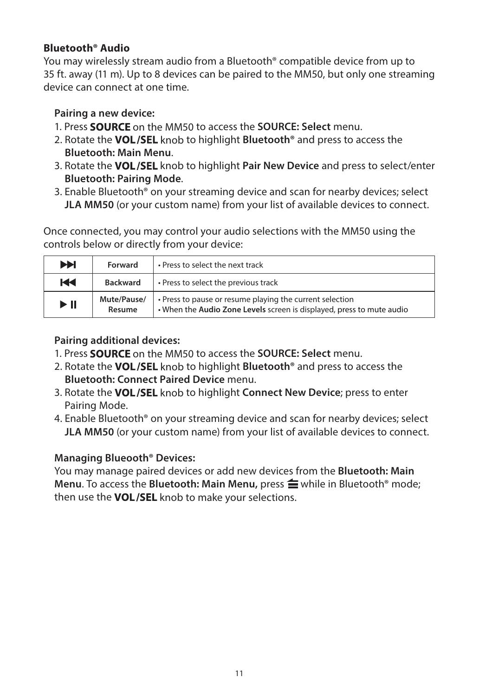# **Bluetooth® Audio**

You may wirelessly stream audio from a Bluetooth® compatible device from up to 35 ft. away (11 m). Up to 8 devices can be paired to the MM50, but only one streaming device can connect at one time.

# **Pairing a new device:**

- 1. Press **SOURCE** on the MM50 to access the **SOURCE: Select** menu.
- 2. Rotate the **VOL/SEL** knob to highlight **Bluetooth<sup>®</sup>** and press to access the **Bluetooth: Main Menu**.
- 3. Rotate the VOL/SEL knob to highlight Pair New Device and press to select/enter **Bluetooth: Pairing Mode**.
- 3. Enable Bluetooth® on your streaming device and scan for nearby devices; select **JLA MM50** (or your custom name) from your list of available devices to connect.

Once connected, you may control your audio selections with the MM50 using the controls below or directly from your device:

| <b>PH</b>                | • Press to select the next track<br>Forward |                                                                                                                                   |
|--------------------------|---------------------------------------------|-----------------------------------------------------------------------------------------------------------------------------------|
| H                        | <b>Backward</b>                             | • Press to select the previous track                                                                                              |
| $\blacktriangleright$ II | Mute/Pause/<br>Resume                       | • Press to pause or resume playing the current selection<br>. When the Audio Zone Levels screen is displayed, press to mute audio |

# **Pairing additional devices:**

- 1. Press **SOURCE** on the MM50 to access the **SOURCE: Select** menu.
- 2. Rotate the **VOL/SEL** knob to highlight **Bluetooth<sup>®</sup> and press to access the Bluetooth: Connect Paired Device** menu.
- 3. Rotate the VOL/SEL knob to highlight Connect New Device; press to enter Pairing Mode.
- 4. Enable Bluetooth® on your streaming device and scan for nearby devices; select **JLA MM50** (or your custom name) from your list of available devices to connect.

# **Managing Blueooth® Devices:**

You may manage paired devices or add new devices from the **Bluetooth: Main Menu.** To access the **Bluetooth: Main Menu,** press  $\triangleq$  while in Bluetooth® mode: then use the VOL/SEL knob to make your selections.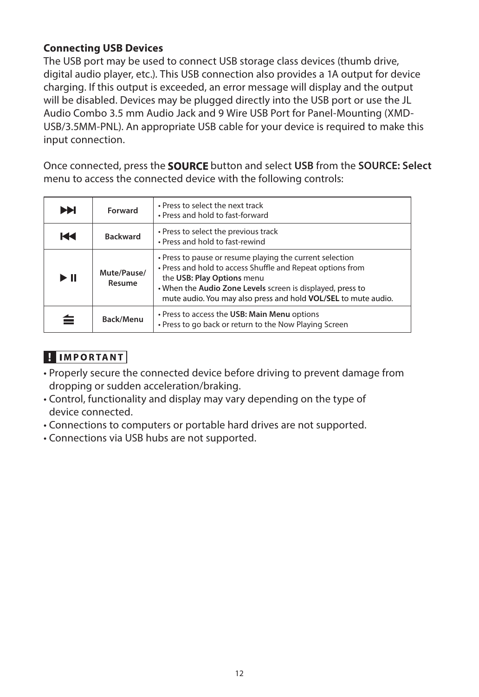## **Connecting USB Devices**

The USB port may be used to connect USB storage class devices (thumb drive, digital audio player, etc.). This USB connection also provides a 1A output for device charging. If this output is exceeded, an error message will display and the output will be disabled. Devices may be plugged directly into the USB port or use the JL Audio Combo 3.5 mm Audio Jack and 9 Wire USB Port for Panel-Mounting (XMD-USB/3.5MM-PNL). An appropriate USB cable for your device is required to make this input connection.

Once connected, press the **SOURCE** button and select USB from the **SOURCE: Select** menu to access the connected device with the following controls:

| ÞH                       | Forward               | . Press to select the next track<br>• Press and hold to fast-forward                                                                                                                                                                                                                 |
|--------------------------|-----------------------|--------------------------------------------------------------------------------------------------------------------------------------------------------------------------------------------------------------------------------------------------------------------------------------|
| КH                       | <b>Backward</b>       | • Press to select the previous track<br>• Press and hold to fast-rewind                                                                                                                                                                                                              |
| $\blacktriangleright$ II | Mute/Pause/<br>Resume | • Press to pause or resume playing the current selection<br>• Press and hold to access Shuffle and Repeat options from<br>the USB: Play Options menu<br>. When the Audio Zone Levels screen is displayed, press to<br>mute audio. You may also press and hold VOL/SEL to mute audio. |
|                          | Back/Menu             | • Press to access the USB: Main Menu options<br>. Press to go back or return to the Now Playing Screen                                                                                                                                                                               |

# **HIMPORTANT**

- Properly secure the connected device before driving to prevent damage from dropping or sudden acceleration/braking.
- Control, functionality and display may vary depending on the type of device connected.
- Connections to computers or portable hard drives are not supported.
- Connections via USB hubs are not supported.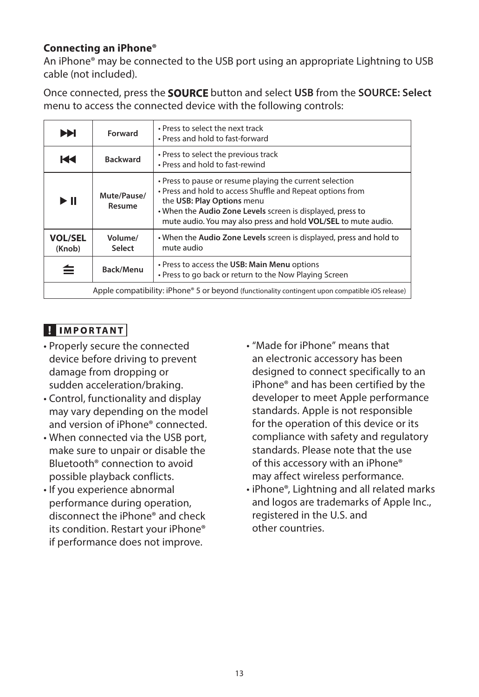## **Connecting an iPhone®**

An iPhone® may be connected to the USB port using an appropriate Lightning to USB cable (not included).

Once connected, press the **SOURCE** button and select USB from the **SOURCE: Select** menu to access the connected device with the following controls:

| ÞЫ                                                                                              | Forward               | . Press to select the next track<br>• Press and hold to fast-forward                                                                                                                                                                                                                 |
|-------------------------------------------------------------------------------------------------|-----------------------|--------------------------------------------------------------------------------------------------------------------------------------------------------------------------------------------------------------------------------------------------------------------------------------|
| К                                                                                               | <b>Backward</b>       | • Press to select the previous track<br>• Press and hold to fast-rewind                                                                                                                                                                                                              |
| $\blacktriangleright$ II                                                                        | Mute/Pause/<br>Resume | . Press to pause or resume playing the current selection<br>. Press and hold to access Shuffle and Repeat options from<br>the USB: Play Options menu<br>. When the Audio Zone Levels screen is displayed, press to<br>mute audio. You may also press and hold VOL/SEL to mute audio. |
| <b>VOL/SEL</b><br>(Knob)                                                                        | Volume/<br>Select     | • When the Audio Zone Levels screen is displayed, press and hold to<br>mute audio                                                                                                                                                                                                    |
|                                                                                                 | Back/Menu             | • Press to access the USB: Main Menu options<br>. Press to go back or return to the Now Playing Screen                                                                                                                                                                               |
| Apple compatibility: iPhone® 5 or beyond (functionality contingent upon compatible iOS release) |                       |                                                                                                                                                                                                                                                                                      |

# **HIMPORTANT**

- Properly secure the connected device before driving to prevent damage from dropping or sudden acceleration/braking.
- Control, functionality and display may vary depending on the model and version of iPhone® connected.
- When connected via the USB port, make sure to unpair or disable the Bluetooth® connection to avoid possible playback conflicts.
- If you experience abnormal performance during operation, disconnect the iPhone® and check its condition. Restart your iPhone® if performance does not improve.
- "Made for iPhone" means that an electronic accessory has been designed to connect specifically to an iPhone® and has been certified by the developer to meet Apple performance standards. Apple is not responsible for the operation of this device or its compliance with safety and regulatory standards. Please note that the use of this accessory with an iPhone® may affect wireless performance.
- iPhone®, Lightning and all related marks and logos are trademarks of Apple Inc., registered in the U.S. and other countries.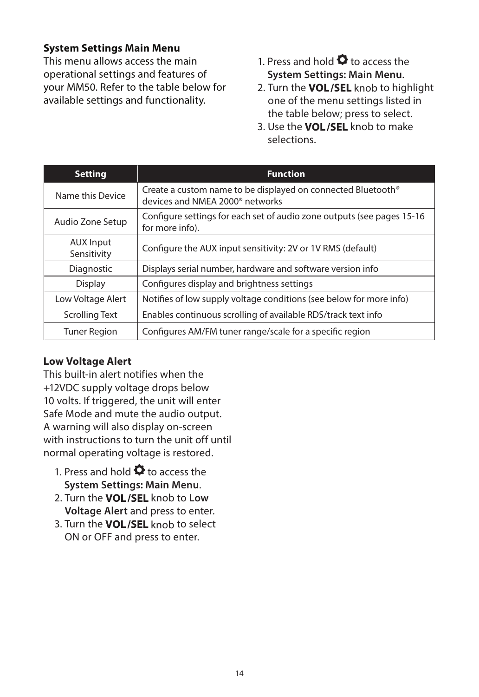## **System Settings Main Menu**

This menu allows access the main operational settings and features of your MM50. Refer to the table below for available settings and functionality.

- 1. Press and hold  $\bullet$  to access the **System Settings: Main Menu**.
- 2. Turn the VOL/SEL knob to highlight one of the menu settings listed in the table below; press to select.
- 3. Use the **VOL/SEL** knob to make selections.

| <b>Setting</b>                  | <b>Function</b>                                                                                             |
|---------------------------------|-------------------------------------------------------------------------------------------------------------|
| Name this Device                | Create a custom name to be displayed on connected Bluetooth®<br>devices and NMEA 2000 <sup>®</sup> networks |
| Audio Zone Setup                | Configure settings for each set of audio zone outputs (see pages 15-16<br>for more info).                   |
| <b>AUX Input</b><br>Sensitivity | Configure the AUX input sensitivity: 2V or 1V RMS (default)                                                 |
| Diagnostic                      | Displays serial number, hardware and software version info                                                  |
| Display                         | Configures display and brightness settings                                                                  |
| Low Voltage Alert               | Notifies of low supply voltage conditions (see below for more info)                                         |
| <b>Scrolling Text</b>           | Enables continuous scrolling of available RDS/track text info                                               |
| <b>Tuner Region</b>             | Configures AM/FM tuner range/scale for a specific region                                                    |

## **Low Voltage Alert**

This built-in alert notifies when the +12VDC supply voltage drops below 10 volts. If triggered, the unit will enter Safe Mode and mute the audio output. A warning will also display on-screen with instructions to turn the unit off until normal operating voltage is restored.

- 1. Press and hold  $\bullet$  to access the **System Settings: Main Menu**.
- 2. Turn the **VOL/SEL** knob to Low **Voltage Alert** and press to enter.
- 3. Turn the VOL/SEL knob to select ON or OFF and press to enter.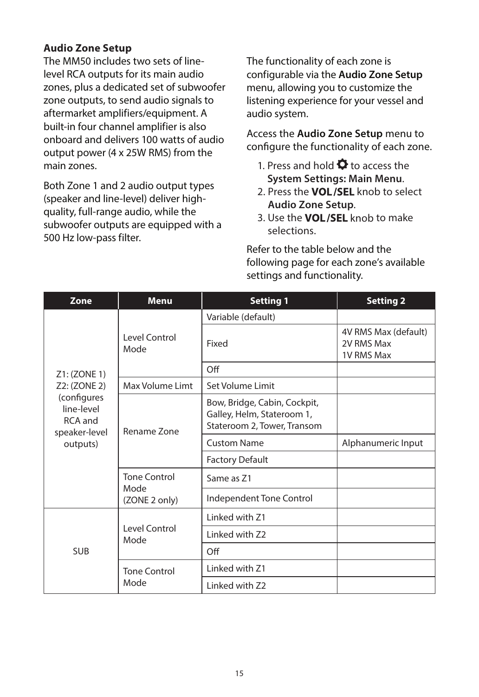## **Audio Zone Setup**

The MM50 includes two sets of linelevel RCA outputs for its main audio zones, plus a dedicated set of subwoofer zone outputs, to send audio signals to aftermarket amplifiers/equipment. A built-in four channel amplifier is also onboard and delivers 100 watts of audio output power (4 x 25W RMS) from the main zones.

Both Zone 1 and 2 audio output types (speaker and line-level) deliver highquality, full-range audio, while the subwoofer outputs are equipped with a 500 Hz low-pass filter.

The functionality of each zone is configurable via the **Audio Zone Setup** menu, allowing you to customize the listening experience for your vessel and audio system.

Access the **Audio Zone Setup** menu to configure the functionality of each zone.

- 1. Press and hold  $\bullet$  to access the **System Settings: Main Menu**.
- 2. Press the **VOL/SEL** knob to select **Audio Zone Setup**.
- 3. Use the **VOL/SEL** knob to make selections.

Refer to the table below and the following page for each zone's available settings and functionality.

| Zone                                                  | <b>Menu</b>                 | <b>Setting 1</b>                                                                          | <b>Setting 2</b>                                        |
|-------------------------------------------------------|-----------------------------|-------------------------------------------------------------------------------------------|---------------------------------------------------------|
|                                                       |                             | Variable (default)                                                                        |                                                         |
|                                                       | Level Control<br>Mode       | Fixed                                                                                     | 4V RMS Max (default)<br>2V RMS Max<br><b>1V RMS Max</b> |
| Z1: (ZONE 1)                                          |                             | Off                                                                                       |                                                         |
| Z2: (ZONE 2)                                          | Max Volume Limt             | Set Volume Limit                                                                          |                                                         |
| (configures<br>line-level<br>RCA and<br>speaker-level | Rename Zone                 | Bow, Bridge, Cabin, Cockpit,<br>Galley, Helm, Stateroom 1,<br>Stateroom 2, Tower, Transom |                                                         |
| outputs)                                              |                             | <b>Custom Name</b>                                                                        | Alphanumeric Input                                      |
|                                                       |                             | <b>Factory Default</b>                                                                    |                                                         |
|                                                       | <b>Tone Control</b><br>Mode | Same as 71                                                                                |                                                         |
|                                                       | (ZONE 2 only)               | Independent Tone Control                                                                  |                                                         |
|                                                       |                             | Linked with Z1                                                                            |                                                         |
|                                                       | Level Control<br>Mode       | Linked with Z2                                                                            |                                                         |
| <b>SUB</b>                                            |                             | Off                                                                                       |                                                         |
|                                                       | <b>Tone Control</b>         | I inked with 71                                                                           |                                                         |
|                                                       | Mode                        | Linked with Z2                                                                            |                                                         |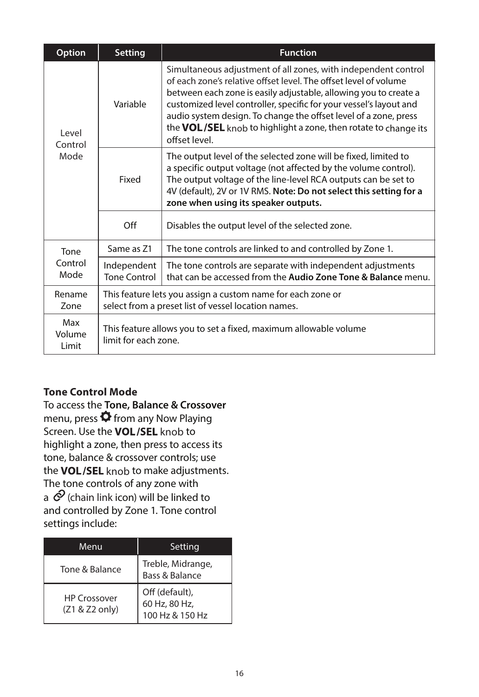| Option                   | <b>Setting</b>                                                                                                     | <b>Function</b>                                                                                                                                                                                                                                                                                                                                                                                                                      |
|--------------------------|--------------------------------------------------------------------------------------------------------------------|--------------------------------------------------------------------------------------------------------------------------------------------------------------------------------------------------------------------------------------------------------------------------------------------------------------------------------------------------------------------------------------------------------------------------------------|
| Level<br>Control<br>Mode | Variable                                                                                                           | Simultaneous adjustment of all zones, with independent control<br>of each zone's relative offset level. The offset level of volume<br>between each zone is easily adjustable, allowing you to create a<br>customized level controller, specific for your vessel's layout and<br>audio system design. To change the offset level of a zone, press<br>the VOL/SEL knob to highlight a zone, then rotate to change its<br>offset level. |
|                          | Fixed                                                                                                              | The output level of the selected zone will be fixed, limited to<br>a specific output voltage (not affected by the volume control).<br>The output voltage of the line-level RCA outputs can be set to<br>4V (default), 2V or 1V RMS. Note: Do not select this setting for a<br>zone when using its speaker outputs.                                                                                                                   |
|                          | $\Omega$ ff                                                                                                        | Disables the output level of the selected zone.                                                                                                                                                                                                                                                                                                                                                                                      |
| Tone                     | Same as 71                                                                                                         | The tone controls are linked to and controlled by Zone 1.                                                                                                                                                                                                                                                                                                                                                                            |
| Control<br>Mode          | Independent<br><b>Tone Control</b>                                                                                 | The tone controls are separate with independent adjustments<br>that can be accessed from the Audio Zone Tone & Balance menu.                                                                                                                                                                                                                                                                                                         |
| Rename<br>Zone           | This feature lets you assign a custom name for each zone or<br>select from a preset list of vessel location names. |                                                                                                                                                                                                                                                                                                                                                                                                                                      |
| Max<br>Volume<br>Limit   | This feature allows you to set a fixed, maximum allowable volume<br>limit for each zone.                           |                                                                                                                                                                                                                                                                                                                                                                                                                                      |

# **Tone Control Mode**

To access the **Tone, Balance & Crossover** menu, press  $\bullet$  from any Now Playing Screen. Use the VOL/SEL knob to highlight a zone, then press to access its tone, balance & crossover controls; use the VOL/SEL knob to make adjustments. The tone controls of any zone with a  $\mathcal O$  (chain link icon) will be linked to and controlled by Zone 1. Tone control settings include:

| Menu                                    | Setting                                            |
|-----------------------------------------|----------------------------------------------------|
| Tone & Balance                          | Treble, Midrange,<br>Bass & Balance                |
| <b>HP Crossover</b><br>$(Z1 & Z2$ only) | Off (default),<br>60 Hz, 80 Hz,<br>100 Hz & 150 Hz |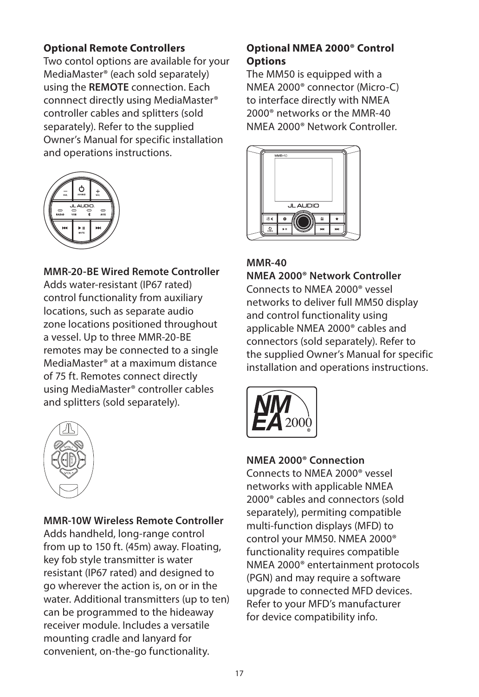## **Optional Remote Controllers**

Two contol options are available for your MediaMaster® (each sold separately) using the **REMOTE** connection. Each connnect directly using MediaMaster® controller cables and splitters (sold separately). Refer to the supplied Owner's Manual for specific installation and operations instructions.



# **MMR-20-BE Wired Remote Controller**

Adds water-resistant (IP67 rated) control functionality from auxiliary locations, such as separate audio zone locations positioned throughout a vessel. Up to three MMR-20-BE remotes may be connected to a single MediaMaster® at a maximum distance of 75 ft. Remotes connect directly using MediaMaster® controller cables and splitters (sold separately).



#### **MMR-10W Wireless Remote Controller**

Adds handheld, long-range control from up to 150 ft. (45m) away. Floating, key fob style transmitter is water resistant (IP67 rated) and designed to go wherever the action is, on or in the water. Additional transmitters (up to ten) can be programmed to the hideaway receiver module. Includes a versatile mounting cradle and lanyard for convenient, on-the-go functionality.

## **Optional NMEA 2000® Control Options**

The MM50 is equipped with a NMEA 2000® connector (Micro-C) to interface directly with NMEA 2000® networks or the MMR-40 NMEA 2000® Network Controller.



## **MMR-40**

**NMEA 2000® Network Controller** Connects to NMEA 2000® vessel networks to deliver full MM50 display and control functionality using applicable NMEA 2000® cables and connectors (sold separately). Refer to the supplied Owner's Manual for specific installation and operations instructions.



## **NMEA 2000® Connection**

Connects to NMEA 2000® vessel networks with applicable NMEA 2000® cables and connectors (sold separately), permiting compatible multi-function displays (MFD) to control your MM50. NMEA 2000® functionality requires compatible NMEA 2000® entertainment protocols (PGN) and may require a software upgrade to connected MFD devices. Refer to your MFD's manufacturer for device compatibility info.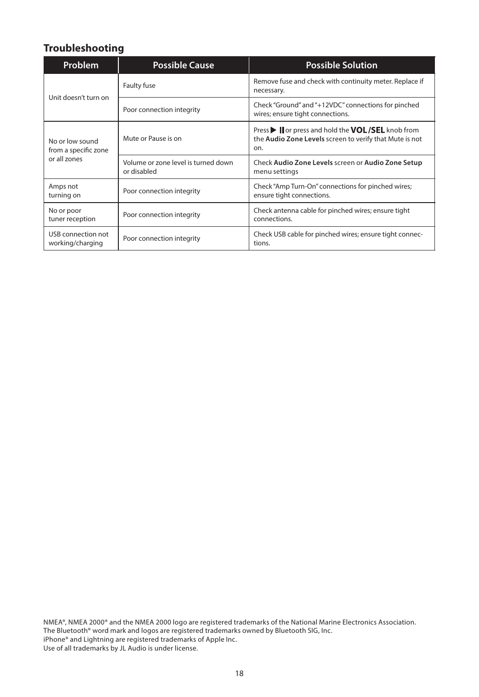# **Troubleshooting**

| <b>Problem</b>                                          | <b>Possible Cause</b>                              | <b>Possible Solution</b>                                                                                          |  |
|---------------------------------------------------------|----------------------------------------------------|-------------------------------------------------------------------------------------------------------------------|--|
|                                                         | Faulty fuse                                        | Remove fuse and check with continuity meter. Replace if<br>necessary.                                             |  |
| Unit doesn't turn on                                    | Poor connection integrity                          | Check "Ground" and "+12VDC" connections for pinched<br>wires; ensure tight connections.                           |  |
| No or low sound<br>from a specific zone<br>or all zones | Mute or Pause is on                                | Press I or press and hold the VOL/SEL knob from<br>the Audio Zone Levels screen to verify that Mute is not<br>on. |  |
|                                                         | Volume or zone level is turned down<br>or disabled | Check Audio Zone Levels screen or Audio Zone Setup<br>menu settings                                               |  |
| Amps not<br>turning on                                  | Poor connection integrity                          | Check "Amp Turn-On" connections for pinched wires;<br>ensure tight connections.                                   |  |
| No or poor<br>tuner reception                           | Poor connection integrity                          | Check antenna cable for pinched wires; ensure tight<br>connections.                                               |  |
| USB connection not<br>working/charging                  | Poor connection integrity                          | Check USB cable for pinched wires; ensure tight connec-<br>tions.                                                 |  |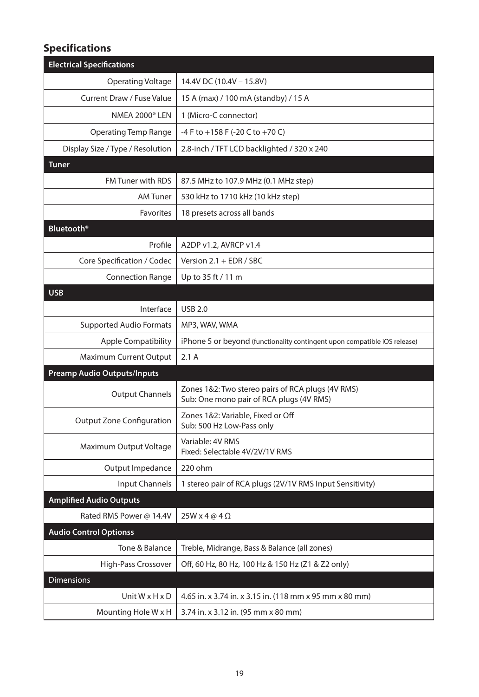# **Specifications**

| <b>Electrical Specifications</b>   |                                                                                               |
|------------------------------------|-----------------------------------------------------------------------------------------------|
| Operating Voltage                  | 14.4V DC (10.4V - 15.8V)                                                                      |
| Current Draw / Fuse Value          | 15 A (max) / 100 mA (standby) / 15 A                                                          |
| <b>NMEA 2000</b> <sup>®</sup> LEN  | 1 (Micro-C connector)                                                                         |
| <b>Operating Temp Range</b>        | -4 F to +158 F (-20 C to +70 C)                                                               |
| Display Size / Type / Resolution   | 2.8-inch / TFT LCD backlighted / 320 x 240                                                    |
| <b>Tuner</b>                       |                                                                                               |
| <b>FM Tuner with RDS</b>           | 87.5 MHz to 107.9 MHz (0.1 MHz step)                                                          |
| <b>AM Tuner</b>                    | 530 kHz to 1710 kHz (10 kHz step)                                                             |
| <b>Favorites</b>                   | 18 presets across all bands                                                                   |
| <b>Bluetooth</b> <sup>®</sup>      |                                                                                               |
| Profile                            | A2DP v1.2, AVRCP v1.4                                                                         |
| Core Specification / Codec         | Version 2.1 + EDR / SBC                                                                       |
| <b>Connection Range</b>            | Up to 35 ft / 11 m                                                                            |
| <b>USB</b>                         |                                                                                               |
| Interface                          | <b>USB 2.0</b>                                                                                |
| <b>Supported Audio Formats</b>     | MP3, WAV, WMA                                                                                 |
| <b>Apple Compatibility</b>         | iPhone 5 or beyond (functionality contingent upon compatible iOS release)                     |
| Maximum Current Output             | 2.1A                                                                                          |
| <b>Preamp Audio Outputs/Inputs</b> |                                                                                               |
| <b>Output Channels</b>             | Zones 1&2: Two stereo pairs of RCA plugs (4V RMS)<br>Sub: One mono pair of RCA plugs (4V RMS) |
| <b>Output Zone Configuration</b>   | Zones 1&2: Variable, Fixed or Off<br>Sub: 500 Hz Low-Pass only                                |
| Maximum Output Voltage             | Variable: 4V RMS<br>Fixed: Selectable 4V/2V/1V RMS                                            |
| Output Impedance                   | 220 ohm                                                                                       |
| Input Channels                     | 1 stereo pair of RCA plugs (2V/1V RMS Input Sensitivity)                                      |
| <b>Amplified Audio Outputs</b>     |                                                                                               |
| Rated RMS Power @ 14.4V            | $25W \times 4 \text{ @ } 4 \Omega$                                                            |
| <b>Audio Control Optionss</b>      |                                                                                               |
| Tone & Balance                     | Treble, Midrange, Bass & Balance (all zones)                                                  |
| High-Pass Crossover                | Off, 60 Hz, 80 Hz, 100 Hz & 150 Hz (Z1 & Z2 only)                                             |
| <b>Dimensions</b>                  |                                                                                               |
| Unit $W \times H \times D$         | 4.65 in. x 3.74 in. x 3.15 in. (118 mm x 95 mm x 80 mm)                                       |
| Mounting Hole W x H                | 3.74 in. x 3.12 in. (95 mm x 80 mm)                                                           |